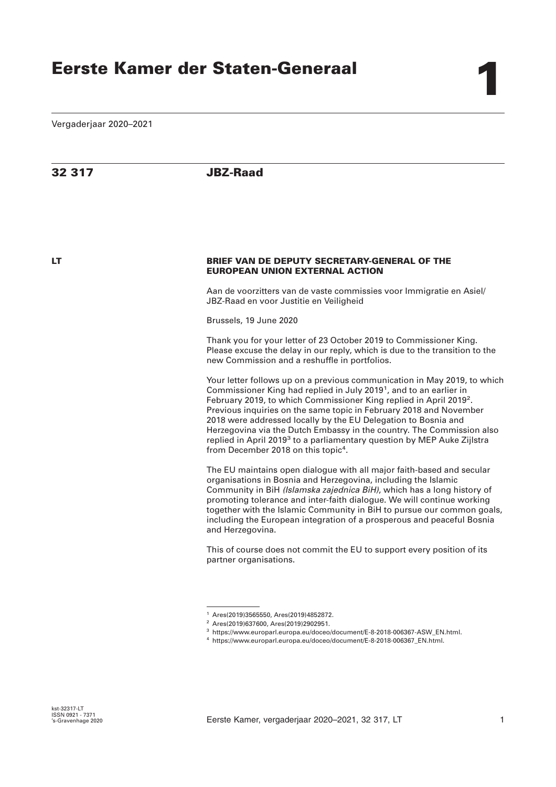Vergaderjaar 2020–2021

## **32 317 JBZ-Raad**

## **LT BRIEF VAN DE DEPUTY SECRETARY-GENERAL OF THE EUROPEAN UNION EXTERNAL ACTION**

Aan de voorzitters van de vaste commissies voor Immigratie en Asiel/ JBZ-Raad en voor Justitie en Veiligheid

Brussels, 19 June 2020

Thank you for your letter of 23 October 2019 to Commissioner King. Please excuse the delay in our reply, which is due to the transition to the new Commission and a reshuffle in portfolios.

Your letter follows up on a previous communication in May 2019, to which Commissioner King had replied in July 2019<sup>1</sup>, and to an earlier in February 2019, to which Commissioner King replied in April 2019<sup>2</sup>. Previous inquiries on the same topic in February 2018 and November 2018 were addressed locally by the EU Delegation to Bosnia and Herzegovina via the Dutch Embassy in the country. The Commission also replied in April 2019<sup>3</sup> to a parliamentary question by MEP Auke Zijlstra from December 2018 on this topic<sup>4</sup>.

The EU maintains open dialogue with all major faith-based and secular organisations in Bosnia and Herzegovina, including the Islamic Community in BiH *(Islamska zajednica BiH)*, which has a long history of promoting tolerance and inter-faith dialogue. We will continue working together with the Islamic Community in BiH to pursue our common goals, including the European integration of a prosperous and peaceful Bosnia and Herzegovina.

This of course does not commit the EU to support every position of its partner organisations.

<sup>1</sup> Ares(2019)3565550, Ares(2019)4852872.

<sup>2</sup> Ares(2019)637600, Ares(2019)2902951.

<sup>3</sup> https://www.europarl.europa.eu/doceo/document/E-8-2018-006367-ASW\_EN.html.

<sup>4</sup> https://www.europarl.europa.eu/doceo/document/E-8-2018-006367\_EN.html.